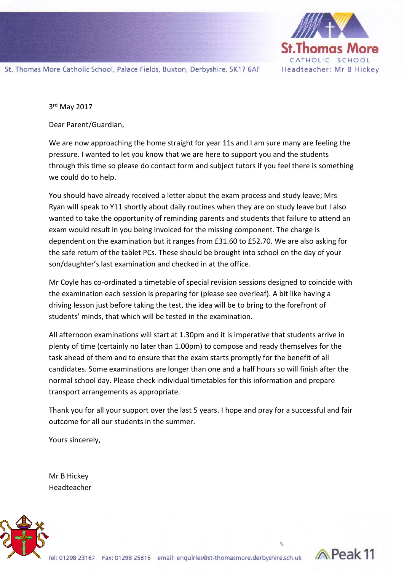

3 rd May 2017

Dear Parent/Guardian,

We are now approaching the home straight for year 11s and I am sure many are feeling the pressure. I wanted to let you know that we are here to support you and the students through this time so please do contact form and subject tutors if you feel there is something we could do to help.

You should have already received a letter about the exam process and study leave; Mrs Ryan will speak to Y11 shortly about daily routines when they are on study leave but I also wanted to take the opportunity of reminding parents and students that failure to attend an exam would result in you being invoiced for the missing component. The charge is dependent on the examination but it ranges from £31.60 to £52.70. We are also asking for the safe return of the tablet PCs. These should be brought into school on the day of your son/daughter's last examination and checked in at the office.

Mr Coyle has co-ordinated a timetable of special revision sessions designed to coincide with the examination each session is preparing for (please see overleaf). A bit like having a driving lesson just before taking the test, the idea will be to bring to the forefront of students' minds, that which will be tested in the examination.

All afternoon examinations will start at 1.30pm and it is imperative that students arrive in plenty of time (certainly no later than 1.00pm) to compose and ready themselves for the task ahead of them and to ensure that the exam starts promptly for the benefit of all candidates. Some examinations are longer than one and a half hours so will finish after the normal school day. Please check individual timetables for this information and prepare transport arrangements as appropriate.

Thank you for all your support over the last 5 years. I hope and pray for a successful and fair outcome for all our students in the summer.

Yours sincerely,

Mr B Hickey Headteacher